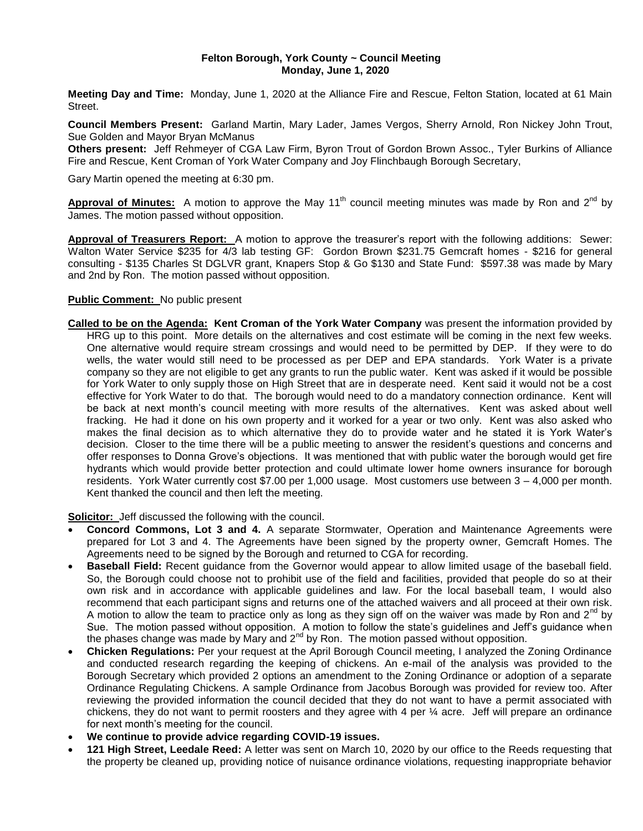#### **Felton Borough, York County ~ Council Meeting Monday, June 1, 2020**

**Meeting Day and Time:** Monday, June 1, 2020 at the Alliance Fire and Rescue, Felton Station, located at 61 Main Street.

**Council Members Present:** Garland Martin, Mary Lader, James Vergos, Sherry Arnold, Ron Nickey John Trout, Sue Golden and Mayor Bryan McManus

**Others present:** Jeff Rehmeyer of CGA Law Firm, Byron Trout of Gordon Brown Assoc., Tyler Burkins of Alliance Fire and Rescue, Kent Croman of York Water Company and Joy Flinchbaugh Borough Secretary,

Gary Martin opened the meeting at 6:30 pm.

**Approval of Minutes:** A motion to approve the May 11<sup>th</sup> council meeting minutes was made by Ron and 2<sup>nd</sup> by James. The motion passed without opposition.

**Approval of Treasurers Report:** A motion to approve the treasurer's report with the following additions: Sewer: Walton Water Service \$235 for 4/3 lab testing GF: Gordon Brown \$231.75 Gemcraft homes - \$216 for general consulting - \$135 Charles St DGLVR grant, Knapers Stop & Go \$130 and State Fund: \$597.38 was made by Mary and 2nd by Ron. The motion passed without opposition.

### **Public Comment:** No public present

**Called to be on the Agenda: Kent Croman of the York Water Company** was present the information provided by HRG up to this point. More details on the alternatives and cost estimate will be coming in the next few weeks. One alternative would require stream crossings and would need to be permitted by DEP. If they were to do wells, the water would still need to be processed as per DEP and EPA standards. York Water is a private company so they are not eligible to get any grants to run the public water. Kent was asked if it would be possible for York Water to only supply those on High Street that are in desperate need. Kent said it would not be a cost effective for York Water to do that. The borough would need to do a mandatory connection ordinance. Kent will be back at next month's council meeting with more results of the alternatives. Kent was asked about well fracking. He had it done on his own property and it worked for a year or two only. Kent was also asked who makes the final decision as to which alternative they do to provide water and he stated it is York Water's decision. Closer to the time there will be a public meeting to answer the resident's questions and concerns and offer responses to Donna Grove's objections. It was mentioned that with public water the borough would get fire hydrants which would provide better protection and could ultimate lower home owners insurance for borough residents. York Water currently cost \$7.00 per 1,000 usage. Most customers use between 3 – 4,000 per month. Kent thanked the council and then left the meeting.

**Solicitor:** Jeff discussed the following with the council.

- **Concord Commons, Lot 3 and 4.** A separate Stormwater, Operation and Maintenance Agreements were prepared for Lot 3 and 4. The Agreements have been signed by the property owner, Gemcraft Homes. The Agreements need to be signed by the Borough and returned to CGA for recording.
- **Baseball Field:** Recent guidance from the Governor would appear to allow limited usage of the baseball field. So, the Borough could choose not to prohibit use of the field and facilities, provided that people do so at their own risk and in accordance with applicable guidelines and law. For the local baseball team, I would also recommend that each participant signs and returns one of the attached waivers and all proceed at their own risk. A motion to allow the team to practice only as long as they sign off on the waiver was made by Ron and  $2^{nd}$  by Sue. The motion passed without opposition. A motion to follow the state's guidelines and Jeff's guidance when the phases change was made by Mary and  $2<sup>nd</sup>$  by Ron. The motion passed without opposition.
- **Chicken Regulations:** Per your request at the April Borough Council meeting, I analyzed the Zoning Ordinance and conducted research regarding the keeping of chickens. An e-mail of the analysis was provided to the Borough Secretary which provided 2 options an amendment to the Zoning Ordinance or adoption of a separate Ordinance Regulating Chickens. A sample Ordinance from Jacobus Borough was provided for review too. After reviewing the provided information the council decided that they do not want to have a permit associated with chickens, they do not want to permit roosters and they agree with 4 per ¼ acre. Jeff will prepare an ordinance for next month's meeting for the council.
- **We continue to provide advice regarding COVID-19 issues.**
- **121 High Street, Leedale Reed:** A letter was sent on March 10, 2020 by our office to the Reeds requesting that the property be cleaned up, providing notice of nuisance ordinance violations, requesting inappropriate behavior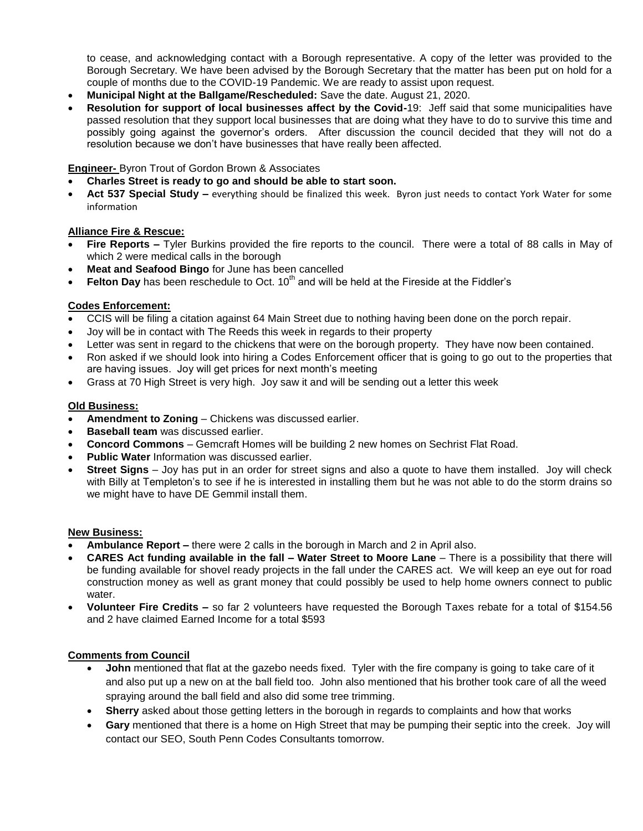to cease, and acknowledging contact with a Borough representative. A copy of the letter was provided to the Borough Secretary. We have been advised by the Borough Secretary that the matter has been put on hold for a couple of months due to the COVID-19 Pandemic. We are ready to assist upon request.

- **Municipal Night at the Ballgame/Rescheduled:** Save the date. August 21, 2020.
- **Resolution for support of local businesses affect by the Covid-**19: Jeff said that some municipalities have passed resolution that they support local businesses that are doing what they have to do to survive this time and possibly going against the governor's orders. After discussion the council decided that they will not do a resolution because we don't have businesses that have really been affected.

### **Engineer-** Byron Trout of Gordon Brown & Associates

- **Charles Street is ready to go and should be able to start soon.**
- **Act 537 Special Study –** everything should be finalized this week. Byron just needs to contact York Water for some information

# **Alliance Fire & Rescue:**

- **Fire Reports –** Tyler Burkins provided the fire reports to the council. There were a total of 88 calls in May of which 2 were medical calls in the borough
- **Meat and Seafood Bingo** for June has been cancelled
- **Felton Day** has been reschedule to Oct. 10<sup>th</sup> and will be held at the Fireside at the Fiddler's

# **Codes Enforcement:**

- CCIS will be filing a citation against 64 Main Street due to nothing having been done on the porch repair.
- Joy will be in contact with The Reeds this week in regards to their property
- Letter was sent in regard to the chickens that were on the borough property. They have now been contained.
- Ron asked if we should look into hiring a Codes Enforcement officer that is going to go out to the properties that are having issues. Joy will get prices for next month's meeting
- Grass at 70 High Street is very high. Joy saw it and will be sending out a letter this week

# **Old Business:**

- **Amendment to Zoning** Chickens was discussed earlier.
- **Baseball team** was discussed earlier.
- **Concord Commons** Gemcraft Homes will be building 2 new homes on Sechrist Flat Road.
- **Public Water** Information was discussed earlier.
- **Street Signs** Joy has put in an order for street signs and also a quote to have them installed. Joy will check with Billy at Templeton's to see if he is interested in installing them but he was not able to do the storm drains so we might have to have DE Gemmil install them.

### **New Business:**

- **Ambulance Report –** there were 2 calls in the borough in March and 2 in April also.
- **CARES Act funding available in the fall – Water Street to Moore Lane** There is a possibility that there will be funding available for shovel ready projects in the fall under the CARES act. We will keep an eye out for road construction money as well as grant money that could possibly be used to help home owners connect to public water.
- **Volunteer Fire Credits –** so far 2 volunteers have requested the Borough Taxes rebate for a total of \$154.56 and 2 have claimed Earned Income for a total \$593

### **Comments from Council**

- **John** mentioned that flat at the gazebo needs fixed. Tyler with the fire company is going to take care of it and also put up a new on at the ball field too. John also mentioned that his brother took care of all the weed spraying around the ball field and also did some tree trimming.
- **Sherry** asked about those getting letters in the borough in regards to complaints and how that works
- **Gary** mentioned that there is a home on High Street that may be pumping their septic into the creek. Joy will contact our SEO, South Penn Codes Consultants tomorrow.